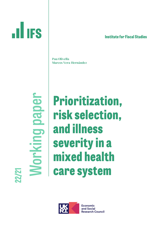# **lnstitute for Fiscal Studies**

Pau Olivella Marcos Vera-Hernández

**Working paper** Norking paper

**ILLIFS** 

**Prioritization, risk selection, and illness severity in a mixed health care system**



**Economic** and Social **Research Council**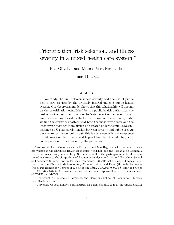# Prioritization, risk selection, and illness severity in a mixed health care system  $*$

Pau Olivella<sup>†</sup> and Marcos Vera-Hernández<sup>‡</sup>

June 14, 2022

#### Abstract

We study the link between illness severity and the use of public health care services by the privately insured under a public health system. Our theoretical model shows that this relationship will depend on the prioritization established by the public health authorities, the cost of waiting and the private sector's risk selection behavior. In our empirical exercise, based on the British Household Panel Survey data, we find the consistent pattern that both the most severe cases and the least severe cases are more likely to be treated under the public system, leading to a U-shaped relationship between severity and public use. As our theoretical model points out, this is not necessarily a consequence of risk selection by private health providers, but it could be just a consequence of prioritization by the public sector.

We would like to thank Francesca Barigozzi and Mar Reguant, who discussed an earlier version in the European Health Economics Workshop and the Jornadas de Economia Industrial, respectively, and to Luigi Siciliani, as well as the participants in the aforementioned congresses, the Simposium of Economic Analysis and the and Barcelona School of Economics Summer Forum for their comments. Olivella acknowledges financial support from the Ministerio de Economía y Competitividad and Feder (through the Severo Ochoa Programme for Centres of Excellence in R&D, CEX2019-000915-S, and the project PGC2018-094348-B-I00). Any errors are the authors' responsibility. Olivella is member of CODE and MOVE.

<sup>&</sup>lt;sup>†</sup>Universitat Autonoma de Barcelona and Barcelona School of Economics. E-mail: pau.olivella@uab.es

<sup>&</sup>lt;sup>‡</sup>University College London and Institute for Fiscal Studies. E-mail: m.vera@ucl.ac.uk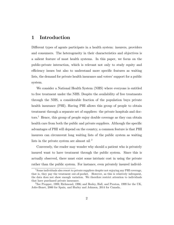# 1 Introduction

Different types of agents participate in a health system: insurers, providers and consumers. The heterogeneity in their characteristics and objectives is a salient feature of most health systems. In this paper, we focus on the public-private interaction, which is relevant not only to study equity and efficiency issues but also to understand more specific features as waiting lists, the demand for private health insurance and voters' support for a public system.

We consider a National Health System (NHS) where everyone is entitled to free treatment under the NHS. Despite the availability of free treatments through the NHS, a considerable fraction of the population buys private health insurance (PHI). Having PHI allows this group of people to obtain treatment through a separate set of suppliers: the private hospitals and doctors.<sup>1</sup> Hence, this group of people enjoy double coverage as they can obtain health care from both the public and private suppliers. Although the specific advantages of PHI will depend on the country, a common feature is that PHI insurees can circumvent long waiting lists of the public system as waiting lists in the private system are almost nil <sup>2</sup>

Conversely, the reader may wonder why should a patient who is privately insured want to have treatment through the public system. Since this is actually observed, there must exist some intrinsic cost in using the private rather than the public system. For instance, even privately insured individ-

<sup>&</sup>lt;sup>1</sup>Some individuals also resort to private suppliers despite not enjoying any PHI coverage, that is, they pay the treatment out-of-pocket. However, as this is relatively infrequent, the data does not show enough variation. We therefore restrict attention to individuals that have purchased private insurance.

<sup>2</sup>See Propper, 1989; Richmond, 1996; and Besley, Hall, and Preston, 1999 for the UK, Jofre-Bonet, 2000 for Spain, and Hurley and Johnson, 2014 for Canada..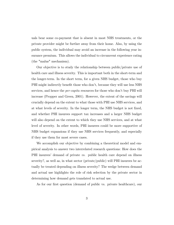uals bear some co-payment that is absent in most NHS treatments, or the private provider might be further away from their home. Also, by using the public system, the individual may avoid an increase in the following year insurance premium. This allows the individual to circumvent experience rating (the "malus" mechanism).

Our objective is to study the relationship between public/private use of health care and illness severity. This is important both in the short-term and the longer-term. In the short term, for a given NHS budget, those who buy PHI might indirectly benefit those who don't, because they will use less NHS services, and hence the *per-capita* resources for those who don't buy PHI will increase (Propper and Green, 2001). However, the extent of the savings will crucially depend on the extent to what those with PHI use NHS services, and at what levels of severity. In the longer term, the NHS budget is not fixed, and whether PHI insurees support tax increases and a larger NHS budget will also depend on the extent to which they use NHS services, and at what level of severity. In other words, PHI insurees could be more supportive of NHS budget expansions if they use NHS services frequently, and especially if they use them for most severe cases.

We accomplish our objective by combining a theoretical model and empirical analysis to answer two interrelated research questions: How does the PHI insurees' demand of private vs. public health care depend on illness severity?, as well as, in what sector (private/public) will PHI insurees be actually be treated depending on illness severity? The wedge between demand and actual use highlights the role of risk selection by the private sector in determining how demand gets translated to actual use.

As for our first question (demand of public vs. private healthcare), our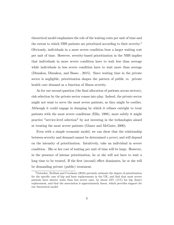theoretical model emphasizes the role of the waiting costs per unit of time and the extent to which NHS patients are prioritized according to their severity.<sup>3</sup> Obviously, individuals in a more severe condition bear a larger waiting cost per unit of time. However, severity-based prioritization in the NHS implies that individuals in more severe condition have to wait less than average while individuals in less severe condition have to wait more than average (Dimakou, Dimakou, and Basso , 2015). Since waiting time in the private sector is negligible, prioritization shapes the pattern of public vs. private health care demand as a function of illness severity.

As for our second question (the final allocation of patients across sectors), risk selection by the private sector comes into play. Indeed, the private sector might not want to serve the most severe patients, as they might be costlier. Although it could engage in dumping by which it refuses outright to treat patients with the most severe conditions (Ellis, 1998), more subtly it might practice "service-level selection" by not investing in the technologies aimed at treating the most severe patients (Glazer and McGuire, 2000).

Even with a simple economic model, we can show that the relationship between severity and demand cannot be determined a priori, and will depend on the intensity of prioritization. Intuitively, take an individual in severe condition. His or her cost of waiting per unit of time will be large. However, in the presence of intense prioritization, he or she will not have to wait a long time to be treated. If the first (second) effect dominates, he or she will be demanding private (public) treatment.

<sup>3</sup>Gutacker, Siciliani and Coockson (2016) precisely estimate the degree of prioritization for the specific case of hip and knee replacements in the UK, and find that most severe patients have shorter waits than less severe ones, by about  $24\%$  (11%) for hip (knee) replacement, and that the association is approximately linear, which provides support for our theoretical model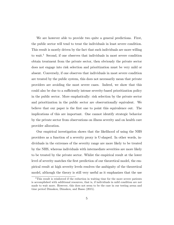We are however able to provide two quite a general predictions. First, the public sector will tend to treat the individuals in least severe condition. This result is mostly driven by the fact that such individuals are more willing to wait.<sup>4</sup> Second, if one observes that individuals in most severe condition obtain treatment from the private sector, then obviously the private sector does not engage into risk selection and prioritization must be very mild or absent. Conversely, if one observes that individuals in most severe condition are treated by the public system, this does not necessarily mean that private providers are avoiding the most severe cases. Indeed, we show that this could also be due to a sufficiently intense severity-based prioritization policy in the public sector. More emphatically: risk selection by the private sector and prioritization in the public sector are observationally equivalent. We believe that our paper is the first one to point this equivalence out. The implications of this are important. One cannot identify strategic behavior by the private sector from observations on illness severity and on health care provider allocation.

Our empirical investigation shows that the likelihood of using the NHS providers as a function of a severity proxy is U-shaped. In other words, individuals in the extremes of the severity range are more likely to be treated by the NHS, whereas individuals with intermediate severities are more likely to be treated by the private sector. Whilst the empirical result at the lower level of severity matches the first prediction of our theoretical model, the empirical result at high severity levels resolves the ambiguity of the theoretical model, although the theory is still very useful as it emphasizes that the use

<sup>&</sup>lt;sup>4</sup>This result is reinforced if the reduction in waiting time for the more severe patients is accomplished with additional resources, that is, if individuals in mild condition are not made to wait more. However, this does not seem to be the case in our testing arena and time period Dimakou, Dimakou, and Basso (2015).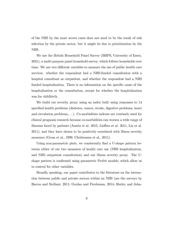of the NHS by the most severe cases does not need to be the result of risk selection by the private sector, but it might be due to prioritization by the NHS.

We use the British Household Panel Survey (BHPS, University of Essex, 2021), a multi-purpose panel household survey, which follows households over time. We use two different variables to measure the use of public health care services: whether the respondent had a NHS-funded consultation with a hospital consultant as outpatient, and whether the respondent had a NHS funded hospitalization. There is no information on the specific cause of the hospitalization or the consultation, except for whether the hospitalization was for childbirth.

We build our severity proxy using an index built using responses to 14 specified health problems (diabetes, cancer, stroke, digestive problems, heart and circulation problems,. . . ). Co-morbidities indexes are routinely used for clinical prognosis research because co-morbidities can worsen a wide range of illnesses faced by patients (Austin et al.  $2015$ , Lieffers et al.  $2011$ , Lix et al. 2011), and they have shown to be positively correlated with illness severity measures (Gross et al., 1999, Christensen et al., 2011).

Using non-parametric plots, we consistently find a U-shape pattern between either of our two measures of health care use (NHS hospitalization, and NHS outpatient consultation) and our illness severity proxy. The Ushape pattern is confirmed using parametric Probit models, which allow us to control for other variables.

Broadly speaking, our paper contributes to the literature on the interaction between public and private sectors within an NHS (see the surveys by Barros and Siciliani, 2011; Goulao and Pereleman, 2014; Hurley and John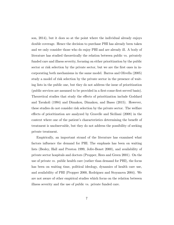son, 2014), but it does so at the point where the individual already enjoys double coverage. Hence the decision to purchase PHI has already been taken and we only consider those who do enjoy PHI and are already ill. A body of literature has studied theoretically the relation between public vs. privately funded care and illness severity, focusing on either prioritization by the public sector or risk selection by the private sector, but we are the first ones in incorporating both mechanisms in the same model. Barros and Olivella (2005) study a model of risk selection by the private sector in the presence of waiting lists in the public one, but they do not address the issue of prioritization (public services are assumed to be provided in a first-come-first-served basis). Theoretical studies that study the effects of prioritization include Goddard and Tavakoli (1994) and Dimakou, Dimakou, and Basso (2015). However, these studies do not consider risk selection by the private sector. The welfare effects of prioritization are analyzed by Gravelle and Siciliani (2008) in the context where one of the patient's characteristics determining the benefit of treatment is unobservable, but they do not address the possibility of seeking private treatment.

Empirically, an important strand of the literature has examined what factors influence the demand for PHI. The emphasis has been on waiting lists (Besley, Hall and Preston 1999, Jofre-Bonet 2000), and availability of private sector hospitals and doctors (Propper, Rees and Green 2001). On the use of private vs. public health care (rather than demand for PHI), the focus has been on waiting time, political ideology, dynamics of health care use, and availability of PHI (Propper 2000, Rodríguez and Stoyanova 2004). We are not aware of other empirical studies which focus on the relation between illness severity and the use of public vs. private funded care.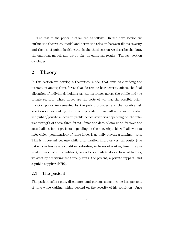The rest of the paper is organized as follows. In the next section we outline the theoretical model and derive the relation between illness severity and the use of public health care. In the third section we describe the data, the empirical model, and we obtain the empirical results. The last section concludes.

# 2 Theory

In this section we develop a theoretical model that aims at clarifying the interaction among three forces that determine how severity affects the final allocation of individuals holding private insurance across the public and the private sectors. These forces are the costs of waiting, the possible prioritization policy implemented by the public provider, and the possible risk selection carried out by the private provider. This will allow us to predict the public/private allocation profile across severities depending on the relative strength of these three forces. Since the data allows us to discover the actual allocation of patients depending on their severity, this will allow us to infer which (combination) of these forces is actually playing a dominant role. This is important because while prioritization improves vertical equity (the patients in less severe condition subsidize, in terms of waiting time, the patients in more severe condition), risk selection fails to do so. In what follows, we start by describing the three players: the patient, a private supplier, and a public supplier (NHS).

### 2.1 The patient

The patient suffers pain, discomfort, and perhaps some income loss per unit of time while waiting, which depend on the severity of his condition Once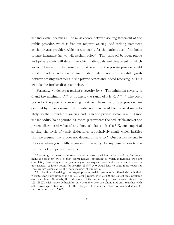the individual becomes ill, he must choose between seeking treatment at the public provider, which is free but requires waiting, and seeking treatment at the private provider, which is also costly for the patient even if he holds private insurance (as we will explain below). The trade-off between public and private costs will determine which individuals seek treatment in which sector. However, in the presence of risk selection, the private provider could avoid providing treatment to some individuals, hence we must distinguish between seeking treatment in the private sector and indeed receiving it. This will also be further discussed below.

Formally, we denote a patient's severity by s. The minimum severity is 0 and the maximum  $s^{\text{max}} > 0$ . Hence, the range of s is  $[0, s^{\text{max}}]$ .<sup>5</sup> The costs borne by the patient of receiving treatment from the private provider are denoted by  $p$ . We assume that private treatment would be received immediately, so the individual's waiting cost is in the private sector is null. Since the individual holds private insurance,  $p$  represents the deductible and/or the present discounted value of any "malus" clause. In the UK, our empirical setting, the levels of yearly deductibles are relatively small, which justifies that we assume that  $p$  does not depend on severity.<sup>6</sup> Our results extend to the case where  $p$  is mildly increasing in severity. In any case,  $p$  goes to the insurer, not the private provider.

<sup>5</sup>Assuming that zero is the lower bound on severity within patients seeking free treatment is consistent with ex-post moral hazard, according to which individuals who are completely insured against all pecuniary outlay request treatment even when it is not really needed. A lower bound for severity of  $s^{\text{min}} > 0$  would lead to some more casuistics that are not essential for the main message of our work.

 ${}^{6}$ At the time of writing, the largest private health insurer only offered through their website yearly deductibles in the  $[£0, £500]$  range, with £1000 and £2000 only available over the phone. Similarly, the online offer of the second largest insurer was restricted to  $[£0, £500]$ , with larger deductibles only available over the phone and only together with other coverage restrictions. The third largest offers a wider choice of yearly deductible, but no larger than  $£5,000$ .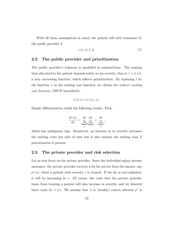With all these assumptions in mind, the patient will seek treatment by the public provider if

$$
c(t,s) \le p. \tag{1}
$$

# 2.2 The public provider and prioritization

The public provider's behavior is modelled in reduced-form. The waiting time allocated to the patient depends solely on his severity, that is,  $t = \pi(s)$ , a non- increasing function, which reflects prioritization. By replacing  $t$  by the function  $\pi$  in the waiting cost function, we obtain the *indirect waiting* cost function ( IWCF henceforth)

$$
\tilde{c}(s) \equiv c(\pi(s),s).
$$

Simple differentiation yields the following results. First,

$$
\frac{d\tilde{c}(s)}{ds} = \underbrace{\frac{\partial c}{\partial t}}_{+} \underbrace{\frac{\partial \pi}{\partial s}}_{-} + \underbrace{\frac{\partial c}{\partial s}}_{+},
$$

which has ambiguous sign. Intuitively, an increase in in severity increases the waiting costs per unit of time but it also reduces the waiting time if prioritization is present.

### 2.3 The private provider and risk selection

Let us now focus on the private provider. Since the individual enjoys private insurance, the private provider receives a fee for service from the insurer, say  $p^*(s)$ , when a patient with severity s is treated. If the fee is cost-adjusted, it will be increasing in s. Of course, the costs that the private provider bears from treating a patient will also increase in severity, and we denoted these costs by  $\psi(s)$ . We assume that  $\psi$  is (weakly) convex whereas  $p^*$  is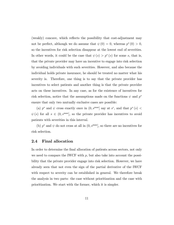(weakly) concave, which reflects the possibility that cost-adjustment may not be perfect, although we do assume that  $\psi(0) = 0$ , whereas  $p^*(0) > 0$ , so the incentives for risk selection disappear at the lowest end of severities. In other words, it could be the case that  $\psi(s) > p^*(s)$  for some s, that is, that the private provider may have an incentive to engage into risk selection by avoiding individuals with such severities. However, and also because the individual holds private insurance, he should be treated no matter what his severity is. Therefore, one thing is to say that the private provider has incentives to select patients and another thing is that the private provider acts on these incentives. In any case, as for the existence of incentives for risk selection, notice that the assumptions made on the functions  $\psi$  and  $p^*$ ensure that only two mutually exclusive cases are possible:

(a)  $p^*$  and  $\psi$  cross exactly once in  $(0, s^{\max})$  say at  $s^c$ , and that  $p^*(s)$  $\psi(s)$  for all  $s \in (0, s^{\max}]$ , so the private provider has incentives to avoid patients with severities in this interval.

(b)  $p^*$  and  $\psi$  do not cross at all in  $(0, s^{\max}]$ , so there are no incentives for risk selection.

### 2.4 Final allocation

In order to determine the final allocation of patients across sectors, not only we need to compare the IWCF with  $p$ , but also take into account the possibility that the private provider engage into risk selection. However, we have already seen that not even the sign of the partial derivative of the IWCF with respect to severity can be established in general. We therefore break the analysis in two parts: the case without prioritization and the case with prioritization. We start with the former, which it is simpler.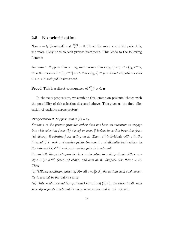# 2.5 No prioritization

Now  $\pi = t_0$  (constant) and  $\frac{d\tilde{c}(s)}{ds} > 0$ . Hence the more severe the patient is, the more likely he is to seek private treatment. This leads to the following Lemma:

**Lemma 1** Suppose that  $\pi = t_0$  and assume that  $c(t_0, 0) < p < c(t_0, s^{\max})$ , then there exists  $\tilde{s} \in [0, s^{\text{max}}]$  such that  $c(t_0, \tilde{s}) \equiv p$  and that all patients with  $0 < s < \tilde{s}$  seek public treatment.

**Proof.** This is a direct consequence of  $\frac{d\tilde{c}(s)}{\partial s} > 0$ .

In the next proposition, we combine this lemma on patients' choice with the possibility of risk selection discussed above. This gives us the final allocation of patients across sectors.

### **Proposition 2** Suppose that  $\pi(s) = t_0$ .

Scenario 1: the private provider either does not have an incentive to engage into risk selection (case (b) above) or even if it does have this incentive (case (a) above), it refrains from acting on it. Then, all individuals with s in the interval  $[0, \tilde{s}]$  seek and receive public treatment and all individuals with s in the interval  $({\tilde s}, s^{\max}]$  seek and receive private treatment.

Scenario 2: the private provider has an incentive to avoid patients with severity  $s \in (s^c, s^{max}]$  (case (a) above) and acts on it. Suppose also that  $\tilde{s} < s^c$ . Then

(i) (Mildest condition patients) For all s in  $[0, \tilde{s}]$ , the patient with such severity is treated in the public sector;

(ii) (Intermediate condition patients) For all  $s \in (\tilde{s}, s^c)$ , the patient with such severity requests treatment in the private sector and is not rejected;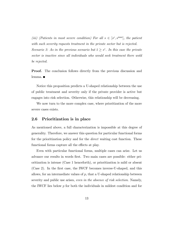(iii) (Patients in most severe condition) For all  $s \in [s^c, s^{\max}]$ , the patient with such severity requests treatment in the private sector but is rejected. Scenario 3: As in the previous scenario but  $\tilde{s} \geq s^c$ . In this case the private sector is inactive since all individuals who would seek treatment there wold be rejected.

**Proof.** The conclusion follows directly from the previous discussion and lemma. ■

Notice this proposition predicts a U-shaped relationship between the use of public treatment and severity only if the private provider is active but engages into risk selection. Otherwise, this relationship will be decreasing.

We now turn to the more complex case, where prioritization of the more severe cases exists.

## 2.6 Prioritization is in place

As mentioned above, a full characterization is impossible at this degree of generality. Therefore, we answer this question for particular functional forms for the prioritization policy and for the *direct* waiting cost function. These functional forms capture all the effects at play.

Even with particular functional forms, multiple cases can arise. Let us advance our results in words first. Two main cases are possible: either prioritization is intense (Case 1 henceforth), or prioritization is mild or absent (Case 2). In the first case, the IWCF becomes inverse-U-shaped, and this allows, for an intermediate values of  $p$ , that a U-shaped relationship between severity and public use arises, *even in the absence of risk selection*. Namely, the IWCF lies below  $p$  for both the individuals in mildest condition and for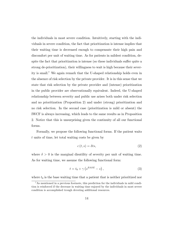the individuals in most severe condition. Intuitively, starting with the individuals in severe condition, the fact that prioritization is intense implies that their waiting time is decreased enough to compensate their high pain and discomfort per unit of waiting time. As for patients in mildest condition, despite the fact that prioritization is intense (so these individuals suffer quite a strong de-prioritization), their willingness to wait is high because their severity is small.<sup>7</sup> We again remark that the U-shaped relationship holds even in the absence of risk selection by the private provider. It is in this sense that we state that risk selection by the private provider and (intense) prioritization in the public provider are observationally equivalent. Indeed, the U-shaped relationship between severity and public use arises both under risk selection and no prioritization (Proposition 2) and under (strong) prioritization and no risk selection. In the second case (prioritization is mild or absent) the IWCF is always increasing, which leads to the same results as in Proposition 2. Notice that this is unsurprising given the continuity of all our functional forms.

Formally, we propose the following functional forms. If the patient waits t units of time, let total waiting costs be given by

$$
c(t,s) = \delta t s,\tag{2}
$$

where  $\delta > 0$  is the marginal disutility of severity per unit of waiting time. As for waiting time, we assume the following functional form:

$$
t = t_0 + \gamma \left( s^{BASE} - s \right), \tag{3}
$$

where  $t_0$  is the base waiting time that a patient that is neither prioritized nor

<sup>7</sup>As mentioned in a previous footnote, this prediction for the individuals in mild condition is reinforced if the decrease in waiting time enjoyed by the individuals in most severe condition is accomplished trough devoting additional resources.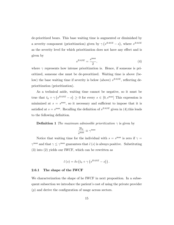de-prioritized bears. This base waiting time is augmented or diminished by a severity component (prioritization) given by  $\gamma \left(s^{BASE} - s\right)$ , where  $s^{BASE}$ as the severity level for which prioritization does not have any effect and is given by

$$
s^{BASE} = \frac{s^{\text{max}}}{2},\tag{4}
$$

where  $\gamma$  represents how intense prioritization is. Hence, if someone is prioritized, someone else must be de-preoritized. Waiting time is above (below) the base waiting time if severity is below (above)  $s^{BASE}$ , reflecting deprioritization (prioritization).

As a technical aside, waiting time cannot be negative, so it must be true that  $t_0 + \gamma \left(s^{BASE} - s\right) \geq 0$  for every  $s \in [0, s^{max}]$  This expression is minimized at  $s = s^{\text{max}}$ , so it necessary and sufficient to impose that it is satisfied at  $s = s^{\text{max}}$ . Recalling the definition of  $s^{BASE}$  given in (4), this leads to the following definition.

**Definition 1** The maximum admissible prioritization  $\gamma$  is given by

$$
\frac{2t_0}{s^{\max}} \equiv \gamma^{\max}
$$

Notice that waiting time for the individual with  $s = s^{\text{max}}$  is zero if  $\gamma =$  $\gamma^{\max}$  and that  $\gamma \leq \gamma^{\max}$  guarantees that  $\tilde{c}(s)$  is always positive. Substituting (3) into (2) yields our IWCF, which can be rewritten as

$$
\tilde{c}(s) = \delta s \left( t_0 + \gamma \left( s^{BASE} - s \right) \right).
$$

#### 2.6.1 The shape of the IWCF

We characterization the shape of he IWCF in next proposition. In a subsequent subsection we introduce the patient's cost of using the private provider  $(p)$  and derive the configuration of usage across sectors.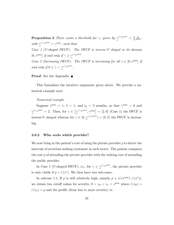**Proposition 3** There exists a threshold for  $\gamma$ , given by  $\gamma^{s^* \leq s^{\max}} = \frac{2}{3}$ 3  $\frac{t_0}{s^{\max}}$ , with  $\gamma^{s^* \leq s^{\max}} < \gamma^{\max}$ , such that: Case 1 (U-shaped IWCF). The IWCF is inverse-U shaped in its domain [0, s<sup>max</sup>] if and only if  $\gamma \geq \gamma^{s^* \leq s^{\max}}$ . Case 2 (Increasing IWCF). The IWCF is increasing for all  $s \in [0, s^{\max}]$  if and only if  $0 \leq \gamma < \gamma^{s^* \leq s^{\max}}$ .

### **Proof.** See the Appendix. ■

This formalizes the intuitive arguments given above. We provide a numerical example next.

#### Numerical example

Suppose  $s^{\max} = 1$ ,  $\delta = 1$ , and  $t_0 = 3$  months, so that  $\gamma^{\max} = 6$  and  $\gamma^{s^* \leq s^{\max}} = 2$ . Then, for  $\gamma \in \left[\gamma^{s^* \leq s^{\max}}, \gamma^{\max}\right] = [2, 6]$  (Case 1) the IWCF is inverse-U shaped whereas for  $\gamma \in [0, \gamma^{s^* \leq s^{\max}}) = [0, 2)$  the IWCF is increasing.

#### 2.6.2 Who seeks which provider?

We now bring in the patient's cost of using the private provider  $p$  to derive the intervals of severities seeking treatment in each sector. The patient compares the cost  $p$  of attending the private provider with the waiting cost of attending the public provider.

In Case 1 (U-shaped IWCF), i.e., for  $\gamma \geq \gamma^{s^* \leq s^{\max}}$ , the private provider is only viable if  $p < \tilde{c}(s^*)$ . We then have two sub-cases.

In subcase 1.1, If p is still relatively high, namely  $p \in (\tilde{c}(s^{\max}), \tilde{c}(s^*)),$ we obtain two cutoff values for severity,  $0 < s_0 < s_1 < s^{\text{max}}$  where  $\tilde{c}(s_0) =$  $\tilde{c}(s_1) = p$  and the profile (from less to more severity) is: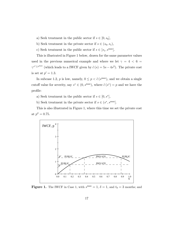- a) Seek treatment in the public sector if  $s \in [0, s_0]$ ,
- b) Seek treatment in the private sector if  $s \in (s_0, s_1)$ ,
- c) Seek treatment in the public sector if  $s \in [s_1, s^{\max}]$ .

This is illustrated in Figure 1 below, drawn for the same parameter values used in the previous numerical example and where we let  $\gamma = 4 < 6 =$  $\gamma^{s^* \leq s^{\max}}$  (which leads to a IWCF given by  $\tilde{c}(s) = 5s - 4s^2$ ). The private cost is set at  $p' = 1.3$ .

In subcase 1.2,  $p$  is low, namely,  $0 \le p < \tilde{c}$  (s<sup>max</sup>), and we obtain a single cutoff value for severity, say  $s^* \in (0, s^{\max})$ , where  $\tilde{c}(s^*) = p$  and we have the profile:

- a) Seek treatment in the public sector if  $s \in [0, s^*]$ ,
- b) Seek treatment in the private sector if  $s \in (s^*, s^{\max}]$ .

This is also illustrated in Figure 1, where this time we set the private cost at  $p'' = 0.75$ .



**Figure 1.** The IWCF in Case 1, with  $s^{\text{max}} = 1$ ,  $\delta = 1$ , and  $t_0 = 3$  months; and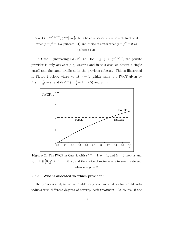$\gamma = 4 \in \left[ \gamma^{s^* \leq s^{\max}}, \gamma^{\max} \right] = [2, 6]$ . Choice of sector where to seek treatment when  $p = p' = 1.3$  (subcase 1,1) and choice of sector when  $p = p'' = 0.75$ (subcase 1.2)

In Case 2 (increasing IWCF), i.e., for  $0 \leq \gamma < \gamma^{s^* \leq s^{\max}}$ , the private provider is only active if  $p \leq \tilde{c}(s^{\max})$  and in this case we obtain a single cutoff and the same profile as in the previous subcase. This is illustrated in Figure 2 below, where we let  $\gamma = 1$  (which leads to a IWCF given by  $\tilde{c}(s) = \frac{7}{2}s - s^2$  and  $\tilde{c}(s^{\text{max}}) = \frac{7}{2} - 1 = 2.5$  and  $p = 2$ .



**Figure 2.** The IWCF in Case 2, with  $s^{\text{max}} = 1$ ,  $\delta = 1$ , and  $t_0 = 3$  months and  $\gamma = 1 \in [0, \underline{\gamma}^{s^* \leq s^{\max}}] = [0, 2]$ ; and the choice of sector where to seek treatment when  $p = p' = 2$ .

### 2.6.3 Who is allocated to which provider?

In the previous analysis we were able to predict in what sector would individuals with different degrees of severity seek treatment. Of course, if the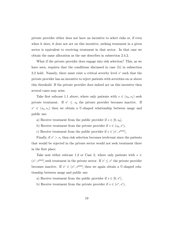private provider either does not have an incentive to select risks or, if even when it does, it does not act on this incentive, seeking treatment in a given sector is equivalent to receiving treatment in that sector. In that case we obtain the same allocation as the one describes in subsection 2.4.2.

What if the private provider does engage into risk selection? This, as we have seen, requires that the conditions discussed in case (b) in subsection 2.2 hold. Namely, there must exist a critical severity level  $s^c$  such that the private provider has an incentive to reject patients with severities on or above this threshold. If the private provider does indeed act on this incentive then several cases may arise.

Take first subcase 1.1 above, where only patients with  $s \in (s_0, s_1)$  seek private treatment. If  $s^c \leq s_0$  the private provider becomes inactive. If  $s^c \in (s_0, s_1)$  then we obtain a U-shaped relationship between usage and public use:

- a) Receive treatment from the public provider if  $s \in [0, s_0]$ ,
- b) Receive treatment from the private provider if  $s \in (s_0, s^c)$ ,
- c) Receive treatment from the public provider if  $s \in [s^c, s^{\max}]$ .

Finally, if  $s^c > s_1$  then risk selection becomes irrelevant since the patients that would be rejected in the private sector would not seek treatment there in the first place.

Take now either subcase 1.2 or Case 2, where only patients with  $s \in$  $(s^*, s^{\text{max}}]$  seek treatment in the private sector. If  $s^c \leq s^*$  the private provider becomes inactive. If  $s^c \in (s^*, s^{\max}]$  then we again obtain a U-shaped relationship between usage and public use:

- a) Receive treatment from the public provider if  $s \in [0, s^*]$ ,
- b) Receive treatment from the private provider if  $s \in (s^*, s^c)$ ,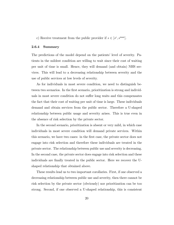c) Receive treatment from the public provider if  $s \in [s^c, s^{\max}]$ .

#### 2.6.4 Summary

The predictions of the model depend on the patients' level of severity. Patients in the mildest condition are willing to wait since their cost of waiting per unit of time is small. Hence, they will demand (and obtain) NHS services. This will lead to a decreasing relationship between severity and the use of public services at low levels of severity.

As for individuals in most severe condition, we need to distinguish between two scenarios. In the first scenario, prioritization is strong and individuals in most severe condition do not suffer long waits and this compensates the fact that their cost of waiting per unit of time is large. These individuals demand and obtain services from the public sector. Therefore a U-shaped relationship between public usage and severity arises. This is true even in the absence of risk selection by the private sector.

In the second scenario, prioritization is absent or very mild, in which case individuals in most severe condition will demand private services. Within this scenario, we have two cases: in the first case, the private sector does not engage into risk selection and therefore these individuals are treated in the private sector. The relationship between public use and severity is decreasing. In the second case, the private sector does engage into risk selection and these individuals are finally treated in the public sector. Here we recover the Ushaped relationship that obtained above.

These results lead us to two important corollaries. First, if one observed a decreasing relationship between public use and severity, then there cannot be risk selection by the private sector (obviously) nor prioritization can be too strong. Second, if one observed a U-shaped relationship, this is consistent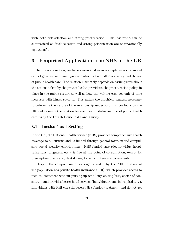with both risk selection and strong prioritization. This last result can be summarized as "risk selection and strong prioritization are observationally equivalent".

# 3 Empirical Application: the NHS in the UK

In the previous section, we have shown that even a simple economic model cannot generate an unambiguous relation between illness severity and the use of public health care. The relation ultimately depends on assumptions about the actions taken by the private health providers, the prioritization policy in place in the public sector, as well as how the waiting cost per unit of time increases with illness severity. This makes the empirical analysis necessary to determine the nature of the relationship under scrutiny. We focus on the UK and estimate the relation between health status and use of public health care using the British Household Panel Survey

# 3.1 Institutional Setting

In the UK, the National Health Service (NHS) provides comprehensive health coverage to all citizens and is funded through general taxation and compulsory social security contributions. NHS funded care (doctor visits, hospitalizations, diagnosis, etc.) is free at the point of consumption, except for prescription drugs and, dental care, for which there are copayments.

Despite the comprehensive coverage provided by the NHS, a share of the population has private health insurance (PHI), which provides access to medical treatment without putting up with long waiting lists, choice of consultant, and provides better hotel services (individual rooms in hospitals,...). Individuals with PHI can still access NHS funded treatment, and do not get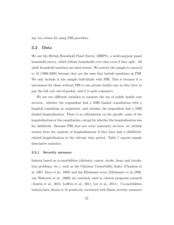any tax rebate for using PHI providers.

### 3.2 Data

We use the British Household Panel Survey (BHPS), a multi-purpose panel household survey, which follows households over time even if they split. All adult household members are interviewed. We restrict the sample to waves 6 to 18 (1996-2008) because they are the ones that include questions on PHI. We only include in the sample individuals with PHI. This is because it is uncommon for those without PHI to use private health care as they have to pay the full cost out-of-pocket, and it is quite expensive.

We use two different variables to measure the use of public health care services: whether the respondent had a NHS funded consultation with a hospital consultant as outpatient, and whether the respondent had a NHS funded hospitalization. There is no information on the specific cause of the hospitalization or the consultation, except for whether the hospitalization was for childbirth. Because PHI does not cover maternity services, we exclude women from the analysis of hospitalizations if they have had a childbirthrelated hospitalization in the relevant time period. Table 1 reports sample descriptive statistics.

#### 3.2.1 Severity measure

Indexes based on co-morbidities (diabetes, cancer, stroke, heart and circulation problems, etc.), such as the Charlson Comorbidity Index (Charlson et al ,1987, Deyo et al., 1992) and the Elixhauser score (Elixhauser et al.,1998, van Walraven et al., 2009) are routinely used in clinical prognosis research (Austin et al., 2015, Lieffers et al., 2011, Lix et al., 2011). Co-morbidities indexes have shown to be positively correlated with illness severity measures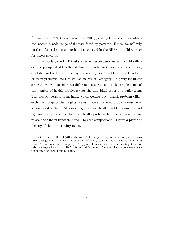(Gross et al., 1999, Christensen et al., 2011) possibly because co-morbidities can worsen a wide range of illnesses faced by patients. Hence, we will rely on the information on co-morbidities collected in the BHPS to build a proxy for illness severity.

In particular, the BHPS asks whether respondents suffer from 14 different and pre-specified health and disability problems (diabetes, cancer, stroke, disability in the limbs, difficulty hearing, digestive problems, heart and circulation problems, etc.) as well as an "other" category. To proxy for illness severity, we will consider two different measures: one is the simple count of the number of health problems that the individual reports to suffer from. The second measure is an index which weights each health problem differently. To compute the weights, we estimate an ordered probit regression of self-assessed health (SAH) (5 categories) over health problem dummies and age, and use the coefficients on the health problem dummies as weights. We re-scale the index between 0 and 1 to ease comparisons.<sup>8</sup> Figure 3 plots the density of the co-morbidity index.

<sup>8</sup>Doiron and Kettlewell (2018) also use SAH as explanatory variables for public versus private usage but the aim of the paper is different (detecting moral hazard). They find that SAH = poor raises usage by 18.3 ppts. However, the increase is 7.6 ppts as for private usage whereas it is 10.7 ppts for public usage. These results are consistent with the increasing part of our U-shape.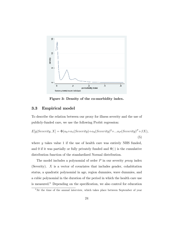

Figure 3: Density of the co-morbidity index.

# 3.3 Empirical model

To describe the relation between our proxy for illness severity and the use of publicly-funded care, we use the following Probit regression:

$$
E[y|Severity, X] = \Phi(\alpha_0 + \alpha_1 (Severity) + \alpha_2 (Severity)^2 + \dots + \alpha_P (Severity)^P + \beta X),
$$
\n(5)

where y takes value 1 if the use of health care was entirely NHS funded, and 0 if it was partially or fully privately funded and  $\Phi(\cdot)$  is the cumulative distribution function of the standardized Normal distribution.

The model includes a polynomial of order  $P$  in our severity proxy index (Severity). X is a vector of covariates that includes gender, cohabitation status, a quadratic polynomial in age, region dummies, wave dummies, and a cubic polynomial in the duration of the period in which the health care use is measured.<sup>9</sup> Depending on the specification, we also control for education

 $9$ At the time of the annual interview, which takes place between September of year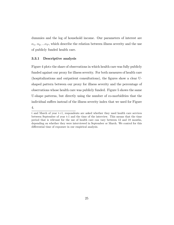dummies and the log of household income. Our parameters of interest are  $\alpha_1, \alpha_2, \ldots \alpha_P$ , which describe the relation between illness severity and the use of publicly funded health care.

### 3.3.1 Descriptive analysis

Figure 4 plots the share of observations in which health care was fully publicly funded against our proxy for illness severity. For both measures of health care (hospitalizations and outpatient consultations), the Ögures show a clear Ushaped pattern between our proxy for illness severity and the percentage of observations whose health care was publicly funded. Figure 5 shows the same U-shape patterns, but directly using the number of co-morbidities that the individual suffers instead of the illness severity index that we used for Figure

4.

t and March of year t+1, respondents are asked whether they used health care services between September of year t-1 and the time of the interview. This means that the time period that is relevant for the use of health care can vary between 12 and 18 months, depending on whether they were interviewed in September or March. We control for this differential time of exposure in our empirical analysis.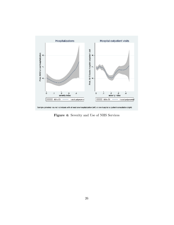

Figure 4: Severity and Use of NHS Services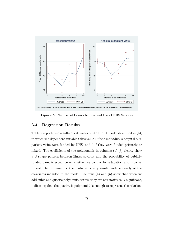

Figure 5: Number of Co-morbidities and Use of NHS Services

# 3.4 Regression Results

Table 2 reports the results of estimates of the Probit model described in (5), in which the dependent variable takes value 1 if the individual's hospital outpatient visits were funded by NHS, and 0 if they were funded privately or mixed. The coefficients of the polynomials in columns  $(1)-(3)$  clearly show a U-shape pattern between illness severity and the probability of publicly funded care, irrespective of whether we control for education and income. Indeed, the minimum of the U-shape is very similar independently of the covariates included in the model. Columns (4) and (5) show that when we add cubic and quartic polynomial terms, they are not statistically significant, indicating that the quadratic polynomial is enough to represent the relation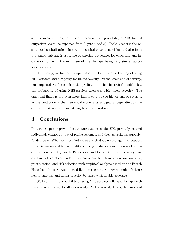ship between our proxy for illness severity and the probability of NHS funded outpatient visits (as expected from Figure 4 and 5). Table 3 reports the results for hospitalizations instead of hospital outpatient visits, and also finds a U-shape pattern, irrespective of whether we control for education and income or not, with the minimum of the U-shape being very similar across specifications.

Empirically, we find a U-shape pattern between the probability of using NHS services and our proxy for illness severity. At the lower end of severity, our empirical results confirm the prediction of the theoretical model, that the probability of using NHS services decreases with illness severity. The empirical findings are even more informative at the higher end of severity, as the prediction of the theoretical model was ambiguous, depending on the extent of risk selection and strength of prioritization.

# 4 Conclusions

In a mixed public-private health care system as the UK, privately insured individuals cannot opt out of public coverage, and they can still use publiclyfunded care. Whether these individuals with double coverage give support to tax increases and higher quality publicly-funded care might depend on the extent to which they use NHS services, and for what levels of severity. We combine a theoretical model which considers the interaction of waiting time, prioritization, and risk selection with empirical analysis based on the British Household Panel Survey to shed light on the pattern between public/private health care use and illness severity by those with double coverage.

We find that the probability of using NHS services follows a U-shape with respect to our proxy for illness severity. At low severity levels, the empirical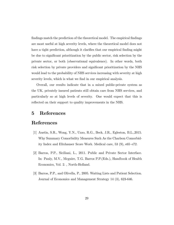findings match the prediction of the theoretical model. The empirical findings are most useful at high severity levels, where the theoretical model does not have a tight prediction, although it clarifies that our empirical finding might be due to significant prioritization by the public sector, risk selection by the private sector, or both (observational equivalence). In other words, both risk selection by private providers and significant prioritization by the NHS would lead to the probability of NHS services increasing with severity at high severity levels, which is what we find in our empirical analysis.

Overall, our results indicate that in a mixed public-private system as the UK, privately insured patients still obtain care from NHS services, and particularly so at high levels of severity. One would expect that this is reflected on their support to quality improvements in the NHS.

# 5 References

# References

- [1] Austin, S.R., Wong, Y.N., Uzzo, R.G., Beck, J.R., Egleston, B.L.,2015. Why Summary Comorbidity Measures Such As the Charlson Comorbidity Index and Elixhauser Score Work. Medical care,  $53(9)$ ,  $65-672$ .
- [2] Barros, P.P., Siciliani, L., 2011. Public and Private Sector Interface. In: Pauly, M.V., Mcguire, T.G. Barros P.P.(Eds.), Handbook of Health Economics, Vol. 2. , North-Holland.
- [3] Barros, P.P., and Olivella, P., 2005. Waiting Lists and Patient Selection. Journal of Economics and Management Strategy 14 (3), 623-646.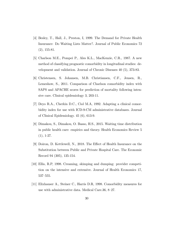- [4] Besley, T., Hall, J., Preston, I, 1999. The Demand for Private Health Insurance: Do Waiting Lists Matter?. Journal of Public Economics 72 (2), 155-81.
- [5] Charlson M.E., Pompei P., Ales K.L., MacKenzie, C.R., 1987. A new method of classifying prognostic comorbidity in longitudinal studies: development and validation. Journal of Chronic Diseases 40 (5), 373-83.
- [6] Christensen, S. Johansen, M.B. Christiansen, C.F., Jensen, R., Lemeshow, S., 2011. Comparison of Charlson comorbidity index with SAPS and APACHE scores for prediction of mortality following intensive care. Clinical epidemiology 3, 203-11.
- [7] Deyo R.A., Cherkin D.C., Ciol M.A, 1992. Adapting a clinical comorbidity index for use with ICD-9-CM administrative databases. Journal of Clinical Epidemiology. 45 (6), 613-9.
- [8] Dimakou, S., Dimakou, O. Basso, H.S., 2015. Waiting time distribution in public health care: empirics and theory. Health Economics Review 5  $(1), 1-27.$
- [9] Doiron, D. Kettlewell, N., 2018. The Effect of Health Insurance on the Substitution between Public and Private Hospital Care. The Economic Record 94 (305), 135-154.
- [10] Ellis, R.P, 1998. Creaming, skimping and dumping: provider competition on the intensive and extensive. Journal of Health Economics 17,  $537 - 555$ .
- [11] Elixhauser A., Steiner C., Harris D.R, 1998. Comorbidity measures for use with administrative data. Medical Care.36,  $8-27$ .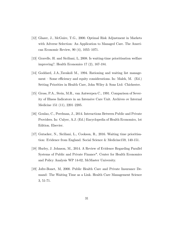- [12] Glazer, J., McGuire, T.G., 2000. Optimal Risk Adjustment in Markets with Adverse Selection: An Application to Managed Care. The American Economic Review,  $90(4)$ ,  $1055-1071$ .
- [13] Gravelle, H. and Siciliani, L, 2008. Is waiting-time prioritisation welfare improving?. Health Economics 17 (2), 167-184.
- [14] Goddard, J.A.,Tavakoli M., 1994. Rationing and waiting list management  $\sim$  Some efficiency and equity considerations. In: Malek, M. (Ed.) Setting Priorities in Health Care, John Wiley & Sons Ltd: Chichester.
- [15] Gross, P.A., Stein, M.R., van Antwerpen C., 1991. Comparison of Severity of Illness Indicators in an Intensive Care Unit. Archives ov Internal Medicine 151  $(11)$ , 2201–2205.
- [16] Goulao, C., Perelman, J., 2014. Interactions Between Public and Private Providers. In: Culyer, A.J. (Ed.) Encyclopedia of Health Economics, 1st Edition. Elsevier.
- [17] Gutacker, N., Siciliani, L., Cookson, R., 2016. Waiting time prioritisation: Evidence from England. Social Science & Medicine159, 140-151.
- [18] Hurley, J. Johnson, M., 2014. A Review of Evidence Regarding Parallel Systems of Public and Private Finance". Center for Health Economics and Policy Analysis WP 14-02, McMaster University.
- [19] Jofre-Bonet, M, 2000. Public Health Care and Private Insurance Demand: The Waiting Time as a Link. Health Care Management Science 3, 51-71.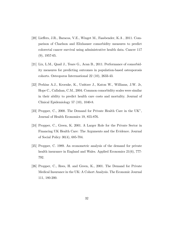- $[20]$  Lieffers, J.R., Baracos, V.E., Winget M., Fassbender, K.A, 2011. Comparison of Charlson and Elixhauser comorbidity measures to predict colorectal cancer survival using administrative health data. Cancer 117 (9), 1957-65.
- [21] Lix, L.M., Quail J., Teare G., Acan B., 2011. Performance of comorbidity measures for predicting outcomes in population-based osteoporosis cohorts. Osteoporos Intermational 22 (10), 2633-43.
- [22] Perkins A.J., Kroenke, K., Unützer J., Katon W., Williams, J.W. Jr, Hope C., Callahan, C.M., 2004. Common comorbidity scales were similar in their ability to predict health care costs and mortality. Journal of Clinical Epidemiology 57 (10), 1040-8.
- [23] Propper, C., 2000. The Demand for Private Health Care in the UK", Journal of Health Economics 19, 855-876.
- [24] Propper, C., Green, K. 2001. A Larger Role for the Private Sector in Financing UK Health Care: The Arguments and the Evidence. Journal of Social Policy 30(4), 685-704.
- [25] Propper, C. 1989. An econometric analysis of the demand for private health insurance in England and Wales. Applied Economics 21(6), 777-792.
- [26] Propper, C., Rees, H. and Green, K., 2001. The Demand for Private Medical Insurance in the UK: A Cohort Analysis. The Economic Journal 111, 180-200.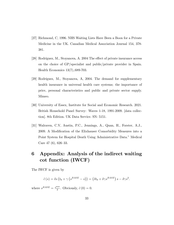- [27] Richmond, C, 1996. NHS Waiting Lists Have Been a Boon for a Private Medicine in the UK. Canadian Medical Association Journal 154, 378- 381.
- [28] Rodríguez, M., Stoyanova, A. 2004 The effect of private insurance access on the choice of GP/specialist and public/private provider in Spain. Health Economics 13(7),:689-703.
- [29] Rodríguez, M., Stoyanova, A, 2004. The demand for supplementary health insurance in universal health care systems; the importance of price, personal characteristics and public and private sector supply. Mimeo.
- [30] University of Essex, Institute for Social and Economic Research. 2021. British Household Panel Survey: Waves 1-18, 1991-2009. [data collection]. 8th Edition. UK Data Service. SN: 5151.
- [31] Walraven, C.V, Austin, P.C., Jennings, A., Quan, H., Forster, A.J., 2009. A Modification of the Elixhauser Comorbidity Measures into a Point System for Hospital Death Using Administrative Data." Medical Care 47 $(6)$ , 626-33.

# 6 Appendix: Analysis of the indirect waiting cot function (IWCF)

The IWCF is given by

$$
\tilde{c}(s) = \delta s \left( t_0 + \gamma \left( s^{BASE} - s \right) \right) = \left( \delta t_0 + \delta \gamma s^{BASE} \right) s - \delta \gamma s^2.
$$

where  $s^{BASE} = \frac{s^{max}}{2}$  $\frac{\pi}{2}$ . Obviously,  $\tilde{c}(0) = 0$ .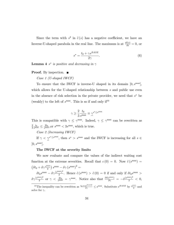Since the term with  $s^2$  in  $\tilde{c}(s)$  has a negative coefficient, we have an Inverse-U-shaped parabola in the real line. The maximum is at  $\frac{d\tilde{c}(s)}{ds} = 0$ , or

$$
s^* = \frac{t_0 + \gamma s^{BASE}}{2\gamma}.
$$
\n(6)

**Lemma 4**  $s^*$  is positive and decreasing in  $\gamma$ 

### **Proof.** By inspection.  $\blacksquare$

Case 1 (U-shaped IWCF)

To ensure that the IWCF is inverse-U shaped in its domain  $[0, s^{\text{max}}]$ , which allows for the U-shaped relationship between s and public use even in the absence of risk selection in the private provider, we need that  $s^*$  be (weakly) to the left of  $s^{\text{max}}$ . This is so if and only if<sup>10</sup>

$$
\gamma \ge \frac{2}{3} \frac{t_0}{s^{\max}} \equiv \underline{\gamma}^{s^* \le s^{\max}}
$$

This is compatible with  $\gamma \leq \gamma^{\max}$ . Indeed,  $\gamma \leq \gamma^{\max}$  can be rewritten as 2 3  $\frac{t_0}{s^{\max}} \leq \frac{2t_0}{s^{\max}}$ , or  $s^{\max} < 3s^{\max}$ , which is true.

Case 2 (Increasing IWCF)

If  $\gamma < \gamma^{s^* \leq s^{\max}}$ , then  $s^* > s^{\max}$  and the IWCF is increasing for all  $s \in$  $[0, s^{\max}].$ 

#### The IWCF at the severity limits

We now evaluate and compare the values of the indirect waiting cost function at the extreme severities. Recall that  $c(0) = 0$ . Now  $\tilde{c}(s^{\max}) =$  $\left(\delta t_0 + \delta \gamma \frac{s^{\text{max}}}{2}\right) s^{\text{max}} - \delta \gamma \left(s^{\text{max}}\right)^2 =$ 

 $\delta t_0 s^{\rm max} - \delta \gamma \frac{(s^{\rm max})^2}{2}$  $\frac{\partial^2}{\partial t^2}$ . Hence  $\tilde{c}(s^{\max}) > \tilde{c}(0) = 0$  if and only if  $\delta t_0 s^{\max} > 0$  $\delta \gamma \frac{(s^{\rm max})^2}{2}$  $\frac{(\text{max})^2}{2}$  or  $\gamma < \frac{2t_0}{s^{\max}} = \gamma^{\max}$ . Notice also that  $\frac{\partial \tilde{c}(s^{\max})}{\partial \gamma} = -\delta \frac{(s^{\max})^2}{2} < 0$ ,

<sup>&</sup>lt;sup>10</sup>The inequality can be rewritten as  $\frac{t_0 + \gamma s^{BASE}}{2\gamma} \leq s^{max}$ . Substitute  $s^{BASE}$  by  $\frac{s^{max}}{2}$  $\frac{1}{2}$  and solve for  $\gamma$ .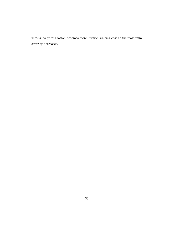that is, as prioritization becomes more intense, waiting cost at the maximum severity decreases.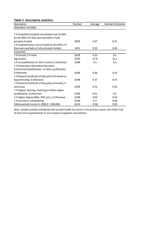# Table 1. Descriptive statistics.

| Description                                           | Number | Average | <b>Standard Deviation</b> |
|-------------------------------------------------------|--------|---------|---------------------------|
| Dependent variables                                   |        |         |                           |
|                                                       |        |         |                           |
| 1 if outpatient hospital consultation was funded      |        |         |                           |
| by the NHS, 0 if they were partially or fully         |        |         |                           |
| privately funded                                      | 6039   | 0.67    | 0.47                      |
| 1 if hospitalizations were funded by the NHS, 0 if    |        |         |                           |
| they were partially or fully privately funded         | 1452   | 0.59    | 0.49                      |
| Covariates                                            |        |         |                           |
| 1 if Female, 0 if male                                | 6239   | 0.55    | 0.5                       |
| Age (years)                                           | 6239   | 47.8    | 16.1                      |
| 1 if no qualification or still in school, 0 otherwise | 6198   | 0.1     | 0.3                       |
| 1 if Compulsory Secondary Education,                  |        |         |                           |
| Commercial Qualification, or other qualification,     |        |         |                           |
| 0 otherwise                                           | 6198   | 0.06    | 0.23                      |
| 1 if General Certificate of Education (O-levels) or   |        |         |                           |
| Appenticeship, 0 otherwise                            | 6198   | 0.17    | 0.37                      |
| 1 if General Certificate of Education (A-levels), 0   |        |         |                           |
| otherwise                                             | 6198   | 0.12    | 0.33                      |
| 1 if Degree, Nursing, Teaching or Other Higher        |        |         |                           |
| qualification, 0 otherwise                            | 6198   | 0.51    | 0.5                       |
| 1 if Higher degree (MSc, PhD, etc.), 0 otherwise      | 6198   | 0.04    | 0.19                      |
| 1 if married or cohabitating                          | 6238   | 0.7     | 0.46                      |
| LN(household income in 2008 $E/100,000$ )             | 6219   | $-0.96$ | 0.69                      |

Note: sample includes individuals with private health insurance in the previous wave, who either had at least one hospitalization or one hospital outpatient consultation.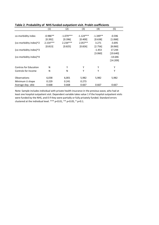|                        | (1)        | (2)         | (3)         | (4)        | (5)       |
|------------------------|------------|-------------|-------------|------------|-----------|
|                        |            |             |             |            |           |
| co-morbidity index     | $-0.986**$ | $-1.079***$ | $-1.124***$ | $-1.349**$ | $-0.596$  |
|                        | [0.392]    | [0.396]     | [0.400]     | [0.638]    | [1.068]   |
| (co-morbidity index)^2 | $2.154***$ | $2.234***$  | $2.057**$   | 3.271      | $-3.695$  |
|                        | [0.813]    | [0.825]     | [0.826]     | [2.756]    | [8.060]   |
| (co-morbidity index)^3 |            |             |             | $-1.453$   | 17.244    |
|                        |            |             |             | [3.060]    | [19.640]  |
| (co-morbidity index)^4 |            |             |             |            | $-14.646$ |
|                        |            |             |             |            | [14.209]  |
| Contros for Education  | N          | Υ           | Υ           | Υ          | Υ         |
| Controls for Income    | N          | N           | Υ           | Υ          | Y         |
| Observations           | 6,038      | 6,001       | 5,982       | 5,982      | 5,982     |
| Minimum U shape        | 0.229      | 0.241       | 0.273       |            |           |
| Average dep. vble      | 0.668      | 0.668       | 0.667       | 0.667      | 0.667     |

### Table 2. Probabiilty of NHS funded outpatient visit. Probit coefficients

Note: Sample includes individual with private health insurance in the previous wave, who had at least one hospital outpatient visit. Dependent variable takes value 1 if the hospital outpatient visits were funded by the NHS, and 0 if they were partially or fully privately funded. Standard errors clustered at the individual level. \*\*\* p<0.01, \*\* p<0.05, \* p<0.1.